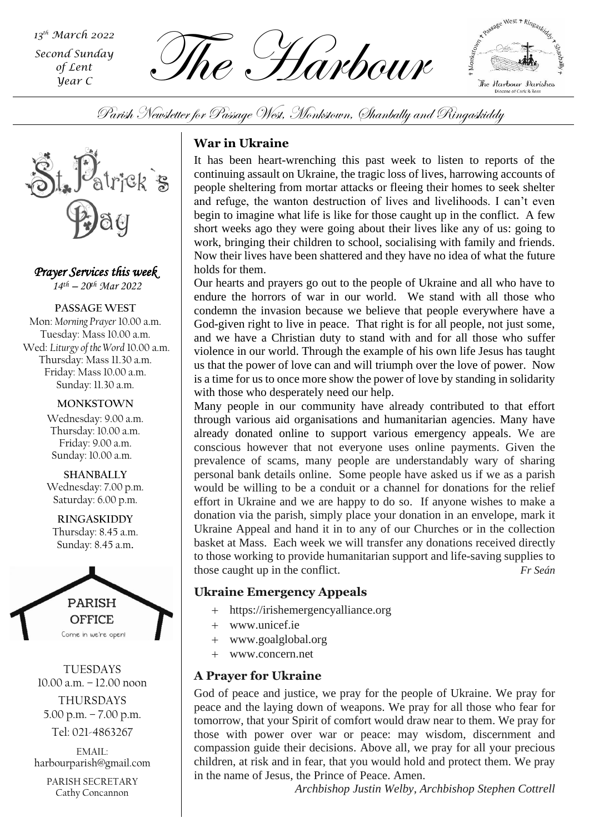*Second Sunday of Lent Year C*

 $\sum_{\substack{\text{Second Sunday} \ \text{of } \text{Lent}}} \frac{\partial Q}{\partial \text{The number of } \text{Left}}$ 



Parish Newsletter for Passage West, Monkstown, Shanbally and Ringaskiddy



*Prayer Services this week 14th – 20th Mar 2022*

**PASSAGE WEST** Mon: *Morning Prayer* 10.00 a.m. Tuesday: Mass 10.00 a.m. Wed: *Liturgy of the Word* 10.00 a.m. Thursday: Mass 11.30 a.m. Friday: Mass 10.00 a.m. Sunday: 11.30 a.m.

> **MONKSTOWN** Wednesday: 9.00 a.m. Thursday: 10.00 a.m. Friday: 9.00 a.m. Sunday: 10.00 a.m.

> **SHANBALLY** Wednesday: 7.00 p.m. Saturday: 6.00 p.m.

**RINGASKIDDY** Thursday: 8.45 a.m. Sunday: 8.45 a.m.



TUESDAYS 10.00 a.m. – 12.00 noon THURSDAYS

5.00 p.m. – 7.00 p.m.

Tel: 021-4863267

EMAIL: harbourparish@gmail.com

PARISH SECRETARY Cathy Concannon

# **War in Ukraine**

It has been heart-wrenching this past week to listen to reports of the continuing assault on Ukraine, the tragic loss of lives, harrowing accounts of people sheltering from mortar attacks or fleeing their homes to seek shelter and refuge, the wanton destruction of lives and livelihoods. I can't even begin to imagine what life is like for those caught up in the conflict. A few short weeks ago they were going about their lives like any of us: going to work, bringing their children to school, socialising with family and friends. Now their lives have been shattered and they have no idea of what the future holds for them.

Our hearts and prayers go out to the people of Ukraine and all who have to endure the horrors of war in our world. We stand with all those who condemn the invasion because we believe that people everywhere have a God-given right to live in peace. That right is for all people, not just some, and we have a Christian duty to stand with and for all those who suffer violence in our world. Through the example of his own life Jesus has taught us that the power of love can and will triumph over the love of power. Now is a time for us to once more show the power of love by standing in solidarity with those who desperately need our help.

effort in Ukraine and we are happy to do so. If anyone wishes to make a Many people in our community have already contributed to that effort through various aid organisations and humanitarian agencies. Many have already donated online to support various emergency appeals. We are conscious however that not everyone uses online payments. Given the prevalence of scams, many people are understandably wary of sharing personal bank details online. Some people have asked us if we as a parish would be willing to be a conduit or a channel for donations for the relief donation via the parish, simply place your donation in an envelope, mark it Ukraine Appeal and hand it in to any of our Churches or in the collection basket at Mass. Each week we will transfer any donations received directly to those working to provide humanitarian support and life-saving supplies to those caught up in the conflict. *Fr Seán*

# **Ukraine Emergency Appeals**

- + https://irishemergencyalliance.org
- + www.unicef.ie
- + www.goalglobal.org
- + www.concern.net

## **A Prayer for Ukraine**

God of peace and justice, we pray for the people of Ukraine. We pray for peace and the laying down of weapons. We pray for all those who fear for tomorrow, that your Spirit of comfort would draw near to them. We pray for those with power over war or peace: may wisdom, discernment and compassion guide their decisions. Above all, we pray for all your precious children, at risk and in fear, that you would hold and protect them. We pray in the name of Jesus, the Prince of Peace. Amen.

*Archbishop Justin Welby, Archbishop Stephen Cottrell*